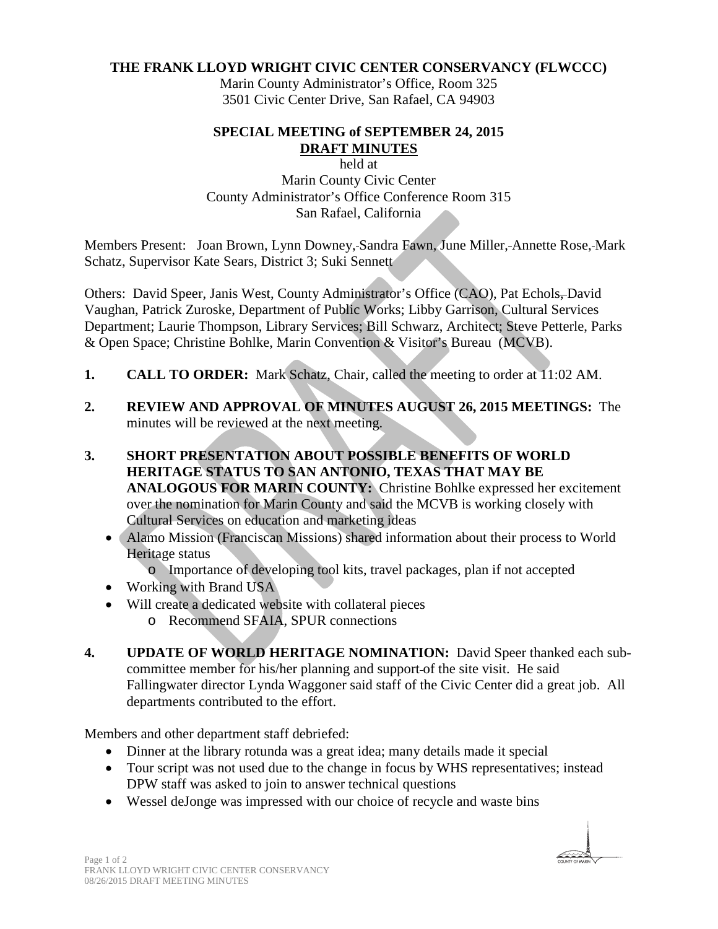#### **THE FRANK LLOYD WRIGHT CIVIC CENTER CONSERVANCY (FLWCCC)**

Marin County Administrator's Office, Room 325 3501 Civic Center Drive, San Rafael, CA 94903

#### **SPECIAL MEETING of SEPTEMBER 24, 2015 DRAFT MINUTES**

held at Marin County Civic Center County Administrator's Office Conference Room 315 San Rafael, California

Members Present: Joan Brown, Lynn Downey, Sandra Fawn, June Miller, Annette Rose, Mark Schatz, Supervisor Kate Sears, District 3; Suki Sennett

Others: David Speer, Janis West, County Administrator's Office (CAO), Pat Echols-David Vaughan, Patrick Zuroske, Department of Public Works; Libby Garrison, Cultural Services Department; Laurie Thompson, Library Services; Bill Schwarz, Architect; Steve Petterle, Parks & Open Space; Christine Bohlke, Marin Convention & Visitor's Bureau (MCVB).

- **1. CALL TO ORDER:** Mark Schatz, Chair, called the meeting to order at 11:02 AM.
- **2. REVIEW AND APPROVAL OF MINUTES AUGUST 26, 2015 MEETINGS:** The minutes will be reviewed at the next meeting.
- **3. SHORT PRESENTATION ABOUT POSSIBLE BENEFITS OF WORLD HERITAGE STATUS TO SAN ANTONIO, TEXAS THAT MAY BE ANALOGOUS FOR MARIN COUNTY:** Christine Bohlke expressed her excitement over the nomination for Marin County and said the MCVB is working closely with Cultural Services on education and marketing ideas
	- Alamo Mission (Franciscan Missions) shared information about their process to World Heritage status
		- o Importance of developing tool kits, travel packages, plan if not accepted
	- Working with Brand USA
	- Will create a dedicated website with collateral pieces
		- o Recommend SFAIA, SPUR connections
- **4. UPDATE OF WORLD HERITAGE NOMINATION:** David Speer thanked each subcommittee member for his/her planning and support of the site visit. He said Fallingwater director Lynda Waggoner said staff of the Civic Center did a great job. All departments contributed to the effort.

Members and other department staff debriefed:

- Dinner at the library rotunda was a great idea; many details made it special
- Tour script was not used due to the change in focus by WHS representatives; instead DPW staff was asked to join to answer technical questions
- Wessel deJonge was impressed with our choice of recycle and waste bins